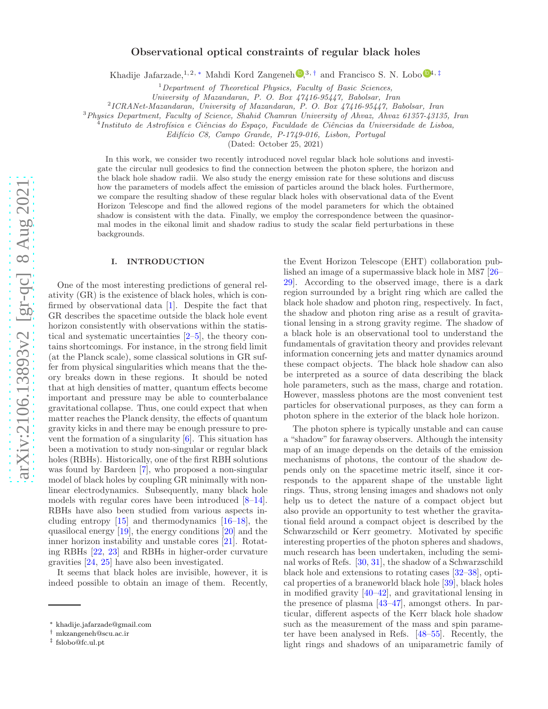# Observational optical constraints of regular black holes

Khadije Jafarzade,<sup>1,2,\*</sup> Mahdi Kord Zangeneh  $\mathbb{D}^{3, \dagger}$  and Francisco S. N. Lobo  $\mathbb{D}^{4, \ddagger}$  $\mathbb{D}^{4, \ddagger}$  $\mathbb{D}^{4, \ddagger}$ 

 $1$  Department of Theoretical Physics, Faculty of Basic Sciences,

University of Mazandaran, P. O. Box 47416-95447, Babolsar, Iran

2 ICRANet-Mazandaran, University of Mazandaran, P. O. Box 47416-95447, Babolsar, Iran

<sup>3</sup>Physics Department, Faculty of Science, Shahid Chamran University of Ahvaz, Ahvaz 61357-43135, Iran <sup>4</sup>

Instituto de Astrofísica e Ciências do Espaço, Faculdade de Ciências da Universidade de Lisboa,

Edifício C8, Campo Grande, P-1749-016, Lisbon, Portugal

(Dated: October 25, 2021)

In this work, we consider two recently introduced novel regular black hole solutions and investigate the circular null geodesics to find the connection between the photon sphere, the horizon and the black hole shadow radii. We also study the energy emission rate for these solutions and discuss how the parameters of models affect the emission of particles around the black holes. Furthermore, we compare the resulting shadow of these regular black holes with observational data of the Event Horizon Telescope and find the allowed regions of the model parameters for which the obtained shadow is consistent with the data. Finally, we employ the correspondence between the quasinormal modes in the eikonal limit and shadow radius to study the scalar field perturbations in these backgrounds.

## I. INTRODUCTION

One of the most interesting predictions of general relativity (GR) is the existence of black holes, which is confirmed by observational data [\[1](#page-7-0)]. Despite the fact that GR describes the spacetime outside the black hole event horizon consistently with observations within the statistical and systematic uncertainties [\[2](#page-7-1)[–5\]](#page-8-0), the theory contains shortcomings. For instance, in the strong field limit (at the Planck scale), some classical solutions in GR suffer from physical singularities which means that the theory breaks down in these regions. It should be noted that at high densities of matter, quantum effects become important and pressure may be able to counterbalance gravitational collapse. Thus, one could expect that when matter reaches the Planck density, the effects of quantum gravity kicks in and there may be enough pressure to prevent the formation of a singularity [\[6\]](#page-8-1). This situation has been a motivation to study non-singular or regular black holes (RBHs). Historically, one of the first RBH solutions was found by Bardeen [ [7](#page-8-2)], who proposed a non-singular model of black holes by coupling GR minimally with nonlinear electrodynamics. Subsequently, many black hole models with regular cores have been introduced [ [8](#page-8-3) [–14\]](#page-8-4). RBHs have also been studied from various aspects including entropy [\[15](#page-8-5)] and thermodynamics [\[16](#page-8-6)[–18\]](#page-8-7), the quasilocal energy [\[19\]](#page-8-8), the energy conditions [\[20\]](#page-8-9) and the inner horizon instability and unstable cores [\[21](#page-8-10)]. Rotating RBHs [\[22](#page-8-11), [23\]](#page-8-12) and RBHs in higher-order curvature gravities [\[24](#page-8-13) , [25\]](#page-8-14) have also been investigated.

It seems that black holes are invisible, however, it is indeed possible to obtain an image of them. Recently,

the Event Horizon Telescope (EHT) collaboration published an image of a supermassive black hole in M87 [\[26](#page-8-15)– [29](#page-8-16)]. According to the observed image, there is a dark region surrounded by a bright ring which are called the black hole shadow and photon ring, respectively. In fact, the shadow and photon ring arise as a result of gravitational lensing in a strong gravity regime. The shadow of a black hole is an observational tool to understand the fundamentals of gravitation theory and provides relevant information concerning jets and matter dynamics around these compact objects. The black hole shadow can also be interpreted as a source of data describing the black hole parameters, such as the mass, charge and rotation. However, massless photons are the most convenient test particles for observational purposes, as they can form a photon sphere in the exterior of the black hole horizon.

The photon sphere is typically unstable and can cause a "shadow" for faraway observers. Although the intensity map of an image depends on the details of the emission mechanisms of photons, the contour of the shadow depends only on the spacetime metric itself, since it corresponds to the apparent shape of the unstable light rings. Thus, strong lensing images and shadows not only help us to detect the nature of a compact object but also provide an opportunity to test whether the gravitational field around a compact object is described by the Schwarzschild or Kerr geometry. Motivated by specific interesting properties of the photon spheres and shadows, much research has been undertaken, including the seminal works of Refs. [\[30,](#page-8-17) [31\]](#page-8-18), the shadow of a Schwarzschild black hole and extensions to rotating cases [\[32](#page-8-19) [–38\]](#page-8-20), optical properties of a braneworld black hole [\[39\]](#page-8-21), black holes in modified gravity [\[40](#page-8-22) [–42](#page-8-23)], and gravitational lensing in the presence of plasma [\[43](#page-9-0) [–47\]](#page-9-1), amongst others. In particular, different aspects of the Kerr black hole shadow such as the measurement of the mass and spin parameter have been analysed in Refs. [\[48](#page-9-2)[–55\]](#page-9-3). Recently, the light rings and shadows of an uniparametric family of

<span id="page-0-0"></span><sup>∗</sup> [khadije.jafarzade@gmail.com](mailto:khadije.jafarzade@gmail.com)

<span id="page-0-1"></span><sup>†</sup> [mkzangeneh@scu.ac.ir](mailto:mkzangeneh@scu.ac.ir)

<span id="page-0-2"></span><sup>‡</sup> [fslobo@fc.ul.pt](mailto:fslobo@fc.ul.pt)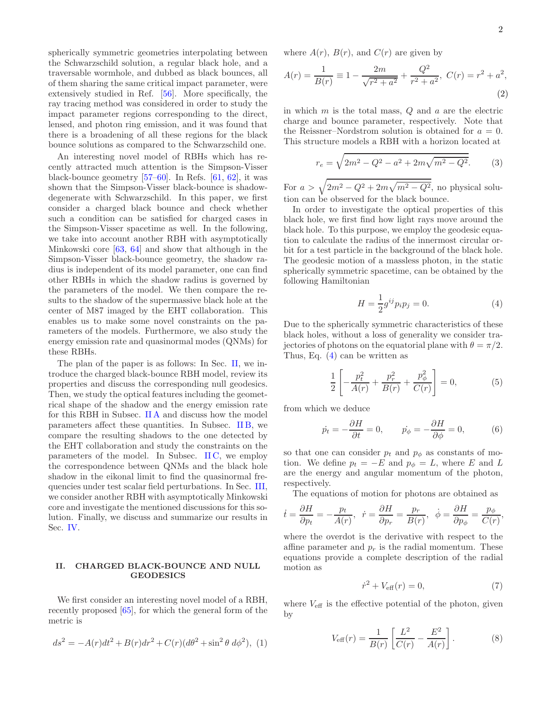spherically symmetric geometries interpolating between the Schwarzschild solution, a regular black hole, and a traversable wormhole, and dubbed as black bounces, all of them sharing the same critical impact parameter, were extensively studied in Ref. [\[56](#page-9-4)]. More specifically, the ray tracing method was considered in order to study the impact parameter regions corresponding to the direct, lensed, and photon ring emission, and it was found that there is a broadening of all these regions for the black bounce solutions as compared to the Schwarzschild one.

An interesting novel model of RBHs which has recently attracted much attention is the Simpson-Visser black-bounce geometry  $[57-60]$ . In Refs.  $[61, 62]$  $[61, 62]$  $[61, 62]$ , it was shown that the Simpson-Visser black-bounce is shadowdegenerate with Schwarzschild. In this paper, we first consider a charged black bounce and check whether such a condition can be satisfied for charged cases in the Simpson-Visser spacetime as well. In the following, we take into account another RBH with asymptotically Minkowski core [\[63,](#page-9-9) [64\]](#page-9-10) and show that although in the Simpson-Visser black-bounce geometry, the shadow radius is independent of its model parameter, one can find other RBHs in which the shadow radius is governed by the parameters of the model. We then compare the results to the shadow of the supermassive black hole at the center of M87 imaged by the EHT collaboration. This enables us to make some novel constraints on the parameters of the models. Furthermore, we also study the energy emission rate and quasinormal modes (QNMs) for these RBHs.

The plan of the paper is as follows: In Sec. [II,](#page-1-0) we introduce the charged black-bounce RBH model, review its properties and discuss the corresponding null geodesics. Then, we study the optical features including the geometrical shape of the shadow and the energy emission rate for this RBH in Subsec. [II A](#page-2-0) and discuss how the model parameters affect these quantities. In Subsec. [II B,](#page-3-0) we compare the resulting shadows to the one detected by the EHT collaboration and study the constraints on the parameters of the model. In Subsec. IIC, we employ the correspondence between QNMs and the black hole shadow in the eikonal limit to find the quasinormal frequencies under test scalar field perturbations. In Sec. [III,](#page-5-0) we consider another RBH with asymptotically Minkowski core and investigate the mentioned discussions for this solution. Finally, we discuss and summarize our results in Sec. [IV.](#page-6-0)

## <span id="page-1-0"></span>II. CHARGED BLACK-BOUNCE AND NULL **GEODESICS**

We first consider an interesting novel model of a RBH, recently proposed [\[65\]](#page-9-11), for which the general form of the metric is

$$
ds^{2} = -A(r)dt^{2} + B(r)dr^{2} + C(r)(d\theta^{2} + \sin^{2}\theta \, d\phi^{2}), \tag{1}
$$

where  $A(r)$ ,  $B(r)$ , and  $C(r)$  are given by

<span id="page-1-3"></span>
$$
A(r) = \frac{1}{B(r)} \equiv 1 - \frac{2m}{\sqrt{r^2 + a^2}} + \frac{Q^2}{r^2 + a^2}, \ C(r) = r^2 + a^2,
$$
\n(2)

in which  $m$  is the total mass,  $Q$  and  $a$  are the electric charge and bounce parameter, respectively. Note that the Reissner–Nordstrom solution is obtained for  $a = 0$ . This structure models a RBH with a horizon located at

$$
r_e = \sqrt{2m^2 - Q^2 - a^2 + 2m\sqrt{m^2 - Q^2}}.
$$
 (3)

For  $a > \sqrt{2m^2 - Q^2 + 2m\sqrt{m^2 - Q^2}}$ , no physical solution can be observed for the black bounce.

In order to investigate the optical properties of this black hole, we first find how light rays move around the black hole. To this purpose, we employ the geodesic equation to calculate the radius of the innermost circular orbit for a test particle in the background of the black hole. The geodesic motion of a massless photon, in the static spherically symmetric spacetime, can be obtained by the following Hamiltonian

<span id="page-1-1"></span>
$$
H = \frac{1}{2}g^{ij}p_i p_j = 0.
$$
 (4)

Due to the spherically symmetric characteristics of these black holes, without a loss of generality we consider trajectories of photons on the equatorial plane with  $\theta = \pi/2$ . Thus, Eq. [\(4\)](#page-1-1) can be written as

$$
\frac{1}{2} \left[ -\frac{p_t^2}{A(r)} + \frac{p_r^2}{B(r)} + \frac{p_\phi^2}{C(r)} \right] = 0, \tag{5}
$$

from which we deduce

$$
\dot{p}_t = -\frac{\partial H}{\partial t} = 0, \qquad \dot{p}_\phi = -\frac{\partial H}{\partial \phi} = 0,\tag{6}
$$

so that one can consider  $p_t$  and  $p_\phi$  as constants of motion. We define  $p_t = -E$  and  $p_{\phi} = L$ , where E and L are the energy and angular momentum of the photon, respectively.

The equations of motion for photons are obtained as

$$
\dot{t} = \frac{\partial H}{\partial p_t} = -\frac{p_t}{A(r)}, \quad \dot{r} = \frac{\partial H}{\partial p_r} = \frac{p_r}{B(r)}, \quad \dot{\phi} = \frac{\partial H}{\partial p_\phi} = \frac{p_\phi}{C(r)},
$$

where the overdot is the derivative with respect to the affine parameter and  $p_r$  is the radial momentum. These equations provide a complete description of the radial motion as

$$
\dot{r}^2 + V_{\text{eff}}(r) = 0,\t\t(7)
$$

where  $V_{\text{eff}}$  is the effective potential of the photon, given by

<span id="page-1-2"></span>
$$
V_{\text{eff}}(r) = \frac{1}{B(r)} \left[ \frac{L^2}{C(r)} - \frac{E^2}{A(r)} \right].
$$
 (8)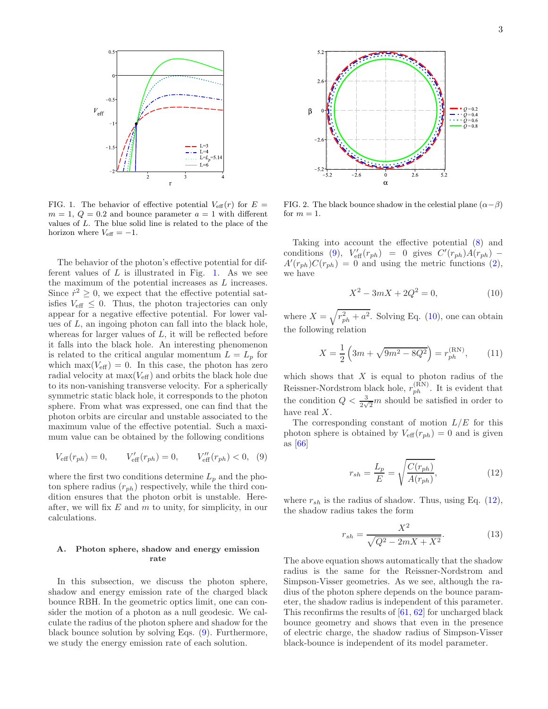

<span id="page-2-1"></span>FIG. 1. The behavior of effective potential  $V_{\text{eff}}(r)$  for  $E =$  $m = 1, Q = 0.2$  and bounce parameter  $a = 1$  with different values of L. The blue solid line is related to the place of the horizon where  $V_{\text{eff}} = -1$ .

The behavior of the photon's effective potential for different values of  $L$  is illustrated in Fig. [1.](#page-2-1) As we see the maximum of the potential increases as L increases. Since  $\dot{r}^2 \geq 0$ , we expect that the effective potential satisfies  $V_{\text{eff}} \leq 0$ . Thus, the photon trajectories can only appear for a negative effective potential. For lower values of  $L$ , an ingoing photon can fall into the black hole, whereas for larger values of  $L$ , it will be reflected before it falls into the black hole. An interesting phenomenon is related to the critical angular momentum  $L = L_p$  for which  $\max(V_{\text{eff}}) = 0$ . In this case, the photon has zero radial velocity at  $\max(V_{\text{eff}})$  and orbits the black hole due to its non-vanishing transverse velocity. For a spherically symmetric static black hole, it corresponds to the photon sphere. From what was expressed, one can find that the photon orbits are circular and unstable associated to the maximum value of the effective potential. Such a maximum value can be obtained by the following conditions

<span id="page-2-2"></span>
$$
V_{\text{eff}}(r_{ph}) = 0, \qquad V_{\text{eff}}'(r_{ph}) = 0, \qquad V_{\text{eff}}''(r_{ph}) < 0, \tag{9}
$$

where the first two conditions determine  $L_p$  and the photon sphere radius  $(r_{ph})$  respectively, while the third condition ensures that the photon orbit is unstable. Hereafter, we will fix  $E$  and  $m$  to unity, for simplicity, in our calculations.

## <span id="page-2-0"></span>A. Photon sphere, shadow and energy emission rate

In this subsection, we discuss the photon sphere, shadow and energy emission rate of the charged black bounce RBH. In the geometric optics limit, one can consider the motion of a photon as a null geodesic. We calculate the radius of the photon sphere and shadow for the black bounce solution by solving Eqs. [\(9\)](#page-2-2). Furthermore, we study the energy emission rate of each solution.



<span id="page-2-5"></span>FIG. 2. The black bounce shadow in the celestial plane  $(\alpha - \beta)$ for  $m = 1$ .

Taking into account the effective potential [\(8\)](#page-1-2) and conditions [\(9\)](#page-2-2),  $V'_{\text{eff}}(r_{ph}) = 0$  gives  $C'(r_{ph})A(r_{ph}) A'(r_{ph})C(r_{ph}) = 0$  and using the metric functions [\(2\)](#page-1-3), we have

<span id="page-2-3"></span>
$$
X^2 - 3mX + 2Q^2 = 0,\t(10)
$$

where  $X = \sqrt{r_{ph}^2 + a^2}$ . Solving Eq. [\(10\)](#page-2-3), one can obtain the following relation

$$
X = \frac{1}{2} \left( 3m + \sqrt{9m^2 - 8Q^2} \right) = r_{ph}^{(\text{RN})},\qquad(11)
$$

which shows that  $X$  is equal to photon radius of the Reissner-Nordstrom black hole,  $r_{ph}^{(\rm RN)}$ . It is evident that the condition  $Q < \frac{3}{2\sqrt{2}}m$  should be satisfied in order to have real X.

The corresponding constant of motion  $L/E$  for this photon sphere is obtained by  $V_{\text{eff}}(r_{ph}) = 0$  and is given as [\[66](#page-9-12)]

<span id="page-2-4"></span>
$$
r_{sh} = \frac{L_p}{E} = \sqrt{\frac{C(r_{ph})}{A(r_{ph})}},\tag{12}
$$

where  $r_{sh}$  is the radius of shadow. Thus, using Eq. [\(12\)](#page-2-4), the shadow radius takes the form

$$
r_{sh} = \frac{X^2}{\sqrt{Q^2 - 2mX + X^2}}.\tag{13}
$$

The above equation shows automatically that the shadow radius is the same for the Reissner-Nordstrom and Simpson-Visser geometries. As we see, although the radius of the photon sphere depends on the bounce parameter, the shadow radius is independent of this parameter. This reconfirms the results of [\[61](#page-9-7), [62\]](#page-9-8) for uncharged black bounce geometry and shows that even in the presence of electric charge, the shadow radius of Simpson-Visser black-bounce is independent of its model parameter.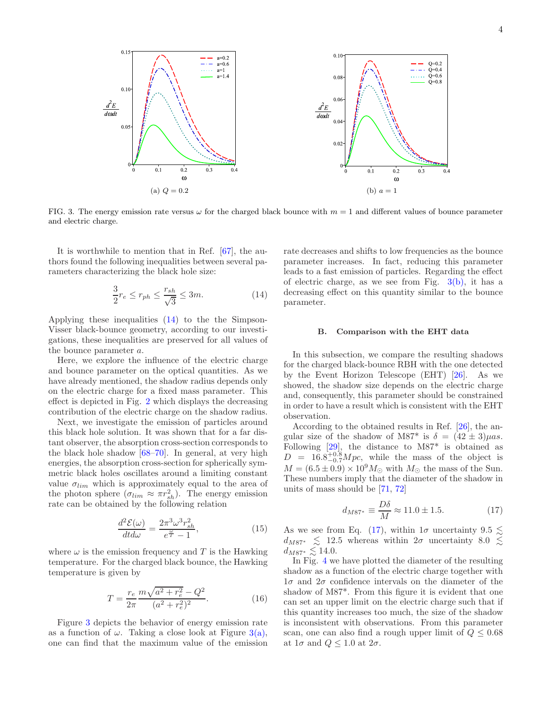<span id="page-3-3"></span>

<span id="page-3-2"></span>FIG. 3. The energy emission rate versus  $\omega$  for the charged black bounce with  $m = 1$  and different values of bounce parameter and electric charge.

It is worthwhile to mention that in Ref. [\[67](#page-9-13)], the authors found the following inequalities between several parameters characterizing the black hole size:

<span id="page-3-1"></span>
$$
\frac{3}{2}r_e \le r_{ph} \le \frac{r_{sh}}{\sqrt{3}} \le 3m.
$$
 (14)

Applying these inequalities [\(14\)](#page-3-1) to the the Simpson-Visser black-bounce geometry, according to our investigations, these inequalities are preserved for all values of the bounce parameter a.

Here, we explore the influence of the electric charge and bounce parameter on the optical quantities. As we have already mentioned, the shadow radius depends only on the electric charge for a fixed mass parameter. This effect is depicted in Fig. [2](#page-2-5) which displays the decreasing contribution of the electric charge on the shadow radius.

Next, we investigate the emission of particles around this black hole solution. It was shown that for a far distant observer, the absorption cross-section corresponds to the black hole shadow [\[68](#page-9-14)[–70](#page-9-15)]. In general, at very high energies, the absorption cross-section for spherically symmetric black holes oscillates around a limiting constant value  $\sigma_{lim}$  which is approximately equal to the area of the photon sphere  $(\sigma_{lim} \approx \pi r_{sh}^2)$ . The energy emission rate can be obtained by the following relation

<span id="page-3-6"></span>
$$
\frac{d^2\mathcal{E}(\omega)}{dt d\omega} = \frac{2\pi^3 \omega^3 r_{sh}^2}{e^{\frac{\omega}{T}} - 1},\tag{15}
$$

where  $\omega$  is the emission frequency and T is the Hawking temperature. For the charged black bounce, the Hawking temperature is given by

$$
T = \frac{r_e}{2\pi} \frac{m\sqrt{a^2 + r_e^2} - Q^2}{(a^2 + r_e^2)^2}.
$$
 (16)

Figure [3](#page-3-2) depicts the behavior of energy emission rate as a function of  $\omega$ . Taking a close look at Figure [3\(a\),](#page-3-3) one can find that the maximum value of the emission

<span id="page-3-4"></span>rate decreases and shifts to low frequencies as the bounce parameter increases. In fact, reducing this parameter leads to a fast emission of particles. Regarding the effect of electric charge, as we see from Fig.  $3(b)$ , it has a decreasing effect on this quantity similar to the bounce parameter.

#### <span id="page-3-0"></span>B. Comparison with the EHT data

In this subsection, we compare the resulting shadows for the charged black-bounce RBH with the one detected by the Event Horizon Telescope (EHT) [\[26](#page-8-15)]. As we showed, the shadow size depends on the electric charge and, consequently, this parameter should be constrained in order to have a result which is consistent with the EHT observation.

According to the obtained results in Ref. [\[26](#page-8-15)], the angular size of the shadow of M87<sup>\*</sup> is  $\delta = (42 \pm 3)\mu as$ . Following [\[29](#page-8-16)], the distance to M87\* is obtained as  $D = 16.8^{+0.8}_{-0.7} Mpc$ , while the mass of the object is  $M = (6.5 \pm 0.9) \times 10^9 M_{\odot}$  with  $M_{\odot}$  the mass of the Sun. These numbers imply that the diameter of the shadow in units of mass should be [\[71,](#page-9-16) [72\]](#page-9-17)

<span id="page-3-5"></span>
$$
d_{M87^*} \equiv \frac{D\delta}{M} \approx 11.0 \pm 1.5. \tag{17}
$$

As we see from Eq. [\(17\)](#page-3-5), within  $1\sigma$  uncertainty  $9.5 \lesssim$  $d_{M87*} \leq 12.5$  whereas within  $2\sigma$  uncertainty 8.0  $\lesssim$  $d_{M87*} \lesssim 14.0.$ 

In Fig. [4](#page-4-1) we have plotted the diameter of the resulting shadow as a function of the electric charge together with  $1\sigma$  and  $2\sigma$  confidence intervals on the diameter of the shadow of M87\*. From this figure it is evident that one can set an upper limit on the electric charge such that if this quantity increases too much, the size of the shadow is inconsistent with observations. From this parameter scan, one can also find a rough upper limit of  $Q \leq 0.68$ at  $1\sigma$  and  $Q \leq 1.0$  at  $2\sigma$ .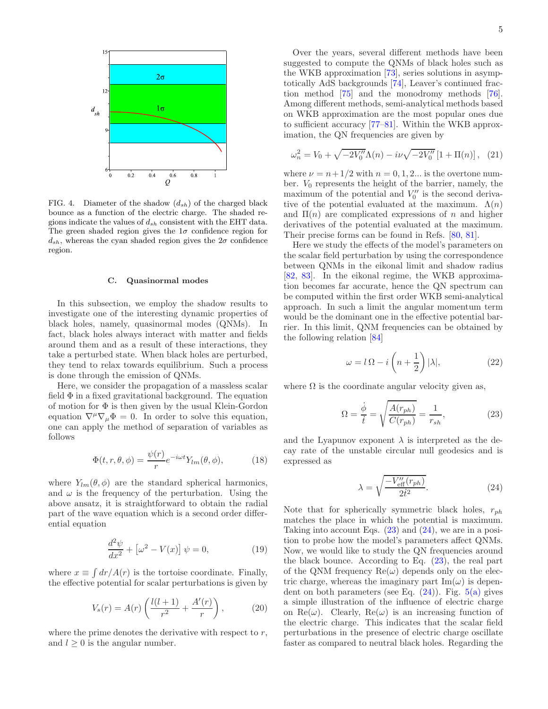

<span id="page-4-1"></span>FIG. 4. Diameter of the shadow  $(d_{sh})$  of the charged black bounce as a function of the electric charge. The shaded regions indicate the values of  $d_{sh}$  consistent with the EHT data. The green shaded region gives the  $1\sigma$  confidence region for  $d_{sh}$ , whereas the cyan shaded region gives the  $2\sigma$  confidence region.

## <span id="page-4-0"></span>C. Quasinormal modes

In this subsection, we employ the shadow results to investigate one of the interesting dynamic properties of black holes, namely, quasinormal modes (QNMs). In fact, black holes always interact with matter and fields around them and as a result of these interactions, they take a perturbed state. When black holes are perturbed, they tend to relax towards equilibrium. Such a process is done through the emission of QNMs.

Here, we consider the propagation of a massless scalar field  $\Phi$  in a fixed gravitational background. The equation of motion for  $\Phi$  is then given by the usual Klein-Gordon equation  $\nabla^{\mu}\nabla_{\mu}\Phi = 0$ . In order to solve this equation, one can apply the method of separation of variables as follows

$$
\Phi(t, r, \theta, \phi) = \frac{\psi(r)}{r} e^{-i\omega t} Y_{lm}(\theta, \phi), \tag{18}
$$

where  $Y_{lm}(\theta, \phi)$  are the standard spherical harmonics, and  $\omega$  is the frequency of the perturbation. Using the above ansatz, it is straightforward to obtain the radial part of the wave equation which is a second order differential equation

$$
\frac{d^2\psi}{dx^2} + \left[\omega^2 - V(x)\right]\psi = 0,\tag{19}
$$

where  $x \equiv \int dr / A(r)$  is the tortoise coordinate. Finally, the effective potential for scalar perturbations is given by

$$
V_s(r) = A(r) \left( \frac{l(l+1)}{r^2} + \frac{A'(r)}{r} \right),
$$
 (20)

where the prime denotes the derivative with respect to  $r$ , and  $l \geq 0$  is the angular number.

Over the years, several different methods have been suggested to compute the QNMs of black holes such as the WKB approximation [\[73\]](#page-9-18), series solutions in asymptotically AdS backgrounds [\[74\]](#page-9-19), Leaver's continued fraction method [\[75](#page-9-20)] and the monodromy methods [\[76\]](#page-9-21). Among different methods, semi-analytical methods based on WKB approximation are the most popular ones due to sufficient accuracy [\[77](#page-9-22)[–81\]](#page-10-0). Within the WKB approximation, the QN frequencies are given by

$$
\omega_n^2 = V_0 + \sqrt{-2V_0''}\Lambda(n) - i\nu\sqrt{-2V_0''}\left[1 + \Pi(n)\right], \quad (21)
$$

where  $\nu = n + 1/2$  with  $n = 0, 1, 2...$  is the overtone number.  $V_0$  represents the height of the barrier, namely, the maximum of the potential and  $V''_0$  is the second derivative of the potential evaluated at the maximum.  $\Lambda(n)$ and  $\Pi(n)$  are complicated expressions of n and higher derivatives of the potential evaluated at the maximum. Their precise forms can be found in Refs. [\[80,](#page-10-1) [81\]](#page-10-0).

Here we study the effects of the model's parameters on the scalar field perturbation by using the correspondence between QNMs in the eikonal limit and shadow radius [\[82,](#page-10-2) [83](#page-10-3)]. In the eikonal regime, the WKB approximation becomes far accurate, hence the QN spectrum can be computed within the first order WKB semi-analytical approach. In such a limit the angular momentum term would be the dominant one in the effective potential barrier. In this limit, QNM frequencies can be obtained by the following relation [\[84\]](#page-10-4)

$$
\omega = l \Omega - i \left( n + \frac{1}{2} \right) |\lambda|, \tag{22}
$$

where  $\Omega$  is the coordinate angular velocity given as,

<span id="page-4-2"></span>
$$
\Omega = \frac{\dot{\phi}}{\dot{t}} = \sqrt{\frac{A(r_{ph})}{C(r_{ph})}} = \frac{1}{r_{sh}},\tag{23}
$$

and the Lyapunov exponent  $\lambda$  is interpreted as the decay rate of the unstable circular null geodesics and is expressed as

<span id="page-4-3"></span>
$$
\lambda = \sqrt{\frac{-V_{\text{eff}}''(r_{ph})}{2t^2}}.\tag{24}
$$

Note that for spherically symmetric black holes,  $r_{ph}$ matches the place in which the potential is maximum. Taking into account Eqs.  $(23)$  and  $(24)$ , we are in a position to probe how the model's parameters affect QNMs. Now, we would like to study the QN frequencies around the black bounce. According to Eq.  $(23)$ , the real part of the QNM frequency  $\text{Re}(\omega)$  depends only on the electric charge, whereas the imaginary part  $\text{Im}(\omega)$  is dependent on both parameters (see Eq.  $(24)$ ). Fig.  $5(a)$  gives a simple illustration of the influence of electric charge on Re( $\omega$ ). Clearly, Re( $\omega$ ) is an increasing function of the electric charge. This indicates that the scalar field perturbations in the presence of electric charge oscillate faster as compared to neutral black holes. Regarding the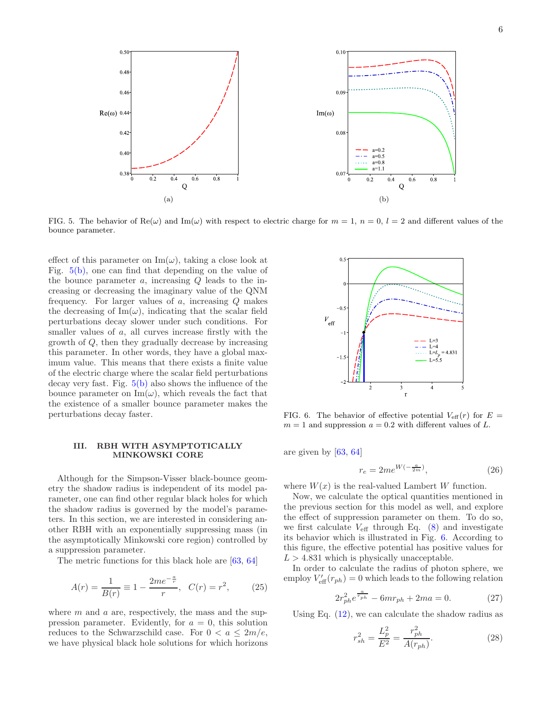<span id="page-5-1"></span>

FIG. 5. The behavior of Re( $\omega$ ) and Im( $\omega$ ) with respect to electric charge for  $m = 1, n = 0, l = 2$  and different values of the bounce parameter.

effect of this parameter on  $\text{Im}(\omega)$ , taking a close look at Fig. [5\(b\),](#page-5-2) one can find that depending on the value of the bounce parameter  $a$ , increasing  $Q$  leads to the increasing or decreasing the imaginary value of the QNM frequency. For larger values of a, increasing Q makes the decreasing of  $\text{Im}(\omega)$ , indicating that the scalar field perturbations decay slower under such conditions. For smaller values of a, all curves increase firstly with the growth of Q, then they gradually decrease by increasing this parameter. In other words, they have a global maximum value. This means that there exists a finite value of the electric charge where the scalar field perturbations decay very fast. Fig. [5\(b\)](#page-5-2) also shows the influence of the bounce parameter on  $\text{Im}(\omega)$ , which reveals the fact that the existence of a smaller bounce parameter makes the perturbations decay faster.

## <span id="page-5-0"></span>III. RBH WITH ASYMPTOTICALLY MINKOWSKI CORE

Although for the Simpson-Visser black-bounce geometry the shadow radius is independent of its model parameter, one can find other regular black holes for which the shadow radius is governed by the model's parameters. In this section, we are interested in considering another RBH with an exponentially suppressing mass (in the asymptotically Minkowski core region) controlled by a suppression parameter.

The metric functions for this black hole are [\[63,](#page-9-9) [64\]](#page-9-10)

$$
A(r) = \frac{1}{B(r)} \equiv 1 - \frac{2me^{-\frac{a}{r}}}{r}, \quad C(r) = r^2, \tag{25}
$$

where  $m$  and  $a$  are, respectively, the mass and the suppression parameter. Evidently, for  $a = 0$ , this solution reduces to the Schwarzschild case. For  $0 < a < 2m/e$ , we have physical black hole solutions for which horizons

<span id="page-5-2"></span>

<span id="page-5-3"></span>FIG. 6. The behavior of effective potential  $V_{\text{eff}}(r)$  for  $E =$  $m = 1$  and suppression  $a = 0.2$  with different values of L.

are given by [\[63](#page-9-9), [64](#page-9-10)]

$$
r_e = 2me^{W(-\frac{a}{2m})},\tag{26}
$$

where  $W(x)$  is the real-valued Lambert W function.

Now, we calculate the optical quantities mentioned in the previous section for this model as well, and explore the effect of suppression parameter on them. To do so, we first calculate  $V_{\text{eff}}$  through Eq. [\(8\)](#page-1-2) and investigate its behavior which is illustrated in Fig. [6.](#page-5-3) According to this figure, the effective potential has positive values for  $L > 4.831$  which is physically unacceptable.

In order to calculate the radius of photon sphere, we employ  $V'_{\text{eff}}(r_{ph}) = 0$  which leads to the following relation

<span id="page-5-4"></span>
$$
2r_{ph}^2e^{\frac{a}{r_{ph}}} - 6mr_{ph} + 2ma = 0.
$$
 (27)

Using Eq.  $(12)$ , we can calculate the shadow radius as

<span id="page-5-5"></span>
$$
r_{sh}^2 = \frac{L_p^2}{E^2} = \frac{r_{ph}^2}{A(r_{ph})}.
$$
 (28)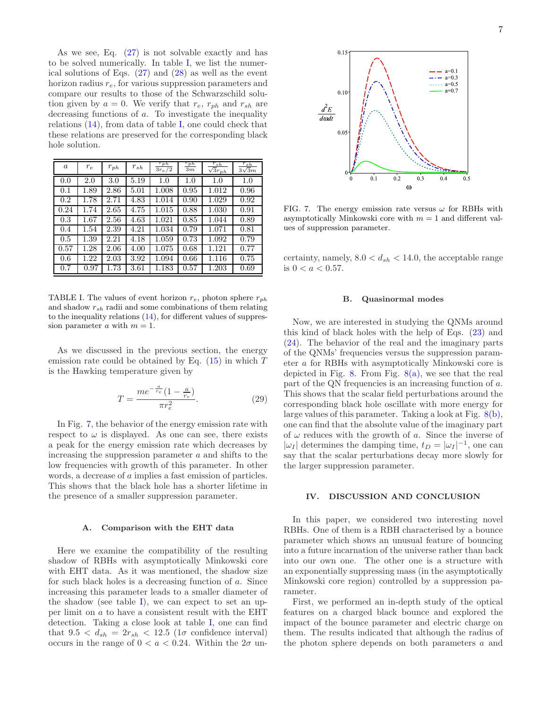As we see, Eq. [\(27\)](#page-5-4) is not solvable exactly and has to be solved numerically. In table [I,](#page-6-1) we list the numerical solutions of Eqs. [\(27\)](#page-5-4) and [\(28\)](#page-5-5) as well as the event horizon radius  $r_e$ , for various suppression parameters and compare our results to those of the Schwarzschild solution given by  $a = 0$ . We verify that  $r_e$ ,  $r_{ph}$  and  $r_{sh}$  are decreasing functions of a. To investigate the inequality relations [\(14\)](#page-3-1), from data of table [I,](#page-6-1) one could check that these relations are preserved for the corresponding black hole solution.

| $\boldsymbol{a}$ | $r_e$ | $r_{ph}$ | $r_{sh}$ | $r_{ph}$<br>$3r_e/2$ | $r_{ph}$<br>3m | $r_{sh}$<br>$\sqrt{3r_{ph}}$ | $rac{r_{sh}}{3\sqrt{3m}}$ |
|------------------|-------|----------|----------|----------------------|----------------|------------------------------|---------------------------|
| 0.0              | 2.0   | 3.0      | 5.19     | 1.0                  | 1.0            | 1.0                          | 1.0                       |
| 0.1              | 1.89  | 2.86     | 5.01     | 1.008                | 0.95           | 1.012                        | 0.96                      |
| 0.2              | 1.78  | 2.71     | 4.83     | 1.014                | 0.90           | 1.029                        | 0.92                      |
| 0.24             | 1.74  | 2.65     | 4.75     | 1.015                | 0.88           | 1.030                        | 0.91                      |
| 0.3              | 1.67  | 2.56     | 4.63     | 1.021                | 0.85           | 1.044                        | 0.89                      |
| 0.4              | 1.54  | 2.39     | 4.21     | 1.034                | 0.79           | 1.071                        | 0.81                      |
| 0.5              | 1.39  | 2.21     | 4.18     | 1.059                | 0.73           | 1.092                        | 0.79                      |
| 0.57             | 1.28  | 2.06     | 4.00     | 1.075                | 0.68           | 1.121                        | 0.77                      |
| 0.6              | 1.22  | 2.03     | 3.92     | 1.094                | 0.66           | 1.116                        | 0.75                      |
| 0.7              | 0.97  | 1.73     | 3.61     | 1.183                | 0.57           | 1.203                        | 0.69                      |

<span id="page-6-1"></span>TABLE I. The values of event horizon  $r_e$ , photon sphere  $r_{ph}$ and shadow  $r_{sh}$  radii and some combinations of them relating to the inequality relations  $(14)$ , for different values of suppression parameter a with  $m = 1$ .

As we discussed in the previous section, the energy emission rate could be obtained by Eq.  $(15)$  in which T is the Hawking temperature given by

$$
T = \frac{me^{-\frac{a}{r_e}}(1 - \frac{a}{r_e})}{\pi r_e^2}.
$$
\n(29)

In Fig. [7,](#page-6-2) the behavior of the energy emission rate with respect to  $\omega$  is displayed. As one can see, there exists a peak for the energy emission rate which decreases by increasing the suppression parameter a and shifts to the low frequencies with growth of this parameter. In other words, a decrease of a implies a fast emission of particles. This shows that the black hole has a shorter lifetime in the presence of a smaller suppression parameter.

## A. Comparison with the EHT data

Here we examine the compatibility of the resulting shadow of RBHs with asymptotically Minkowski core with EHT data. As it was mentioned, the shadow size for such black holes is a decreasing function of a. Since increasing this parameter leads to a smaller diameter of the shadow (see table [I\)](#page-6-1), we can expect to set an upper limit on a to have a consistent result with the EHT detection. Taking a close look at table [I,](#page-6-1) one can find that  $9.5 < d_{sh} = 2r_{sh} < 12.5$  (1 $\sigma$  confidence interval) occurs in the range of  $0 < a < 0.24$ . Within the  $2\sigma$  un-



<span id="page-6-2"></span>FIG. 7. The energy emission rate versus  $\omega$  for RBHs with asymptotically Minkowski core with  $m = 1$  and different values of suppression parameter.

certainty, namely,  $8.0 < d_{sh} < 14.0$ , the acceptable range is  $0 < a < 0.57$ .

## B. Quasinormal modes

Now, we are interested in studying the QNMs around this kind of black holes with the help of Eqs. [\(23\)](#page-4-2) and [\(24\)](#page-4-3). The behavior of the real and the imaginary parts of the QNMs' frequencies versus the suppression parameter a for RBHs with asymptotically Minkowski core is depicted in Fig. [8.](#page-7-2) From Fig.  $8(a)$ , we see that the real part of the QN frequencies is an increasing function of a. This shows that the scalar field perturbations around the corresponding black hole oscillate with more energy for large values of this parameter. Taking a look at Fig. [8\(b\),](#page-7-4) one can find that the absolute value of the imaginary part of  $\omega$  reduces with the growth of a. Since the inverse of  $|\omega_I|$  determines the damping time,  $t_D = |\omega_I|^{-1}$ , one can say that the scalar perturbations decay more slowly for the larger suppression parameter.

### <span id="page-6-0"></span>IV. DISCUSSION AND CONCLUSION

In this paper, we considered two interesting novel RBHs. One of them is a RBH characterised by a bounce parameter which shows an unusual feature of bouncing into a future incarnation of the universe rather than back into our own one. The other one is a structure with an exponentially suppressing mass (in the asymptotically Minkowski core region) controlled by a suppression parameter.

First, we performed an in-depth study of the optical features on a charged black bounce and explored the impact of the bounce parameter and electric charge on them. The results indicated that although the radius of the photon sphere depends on both parameters a and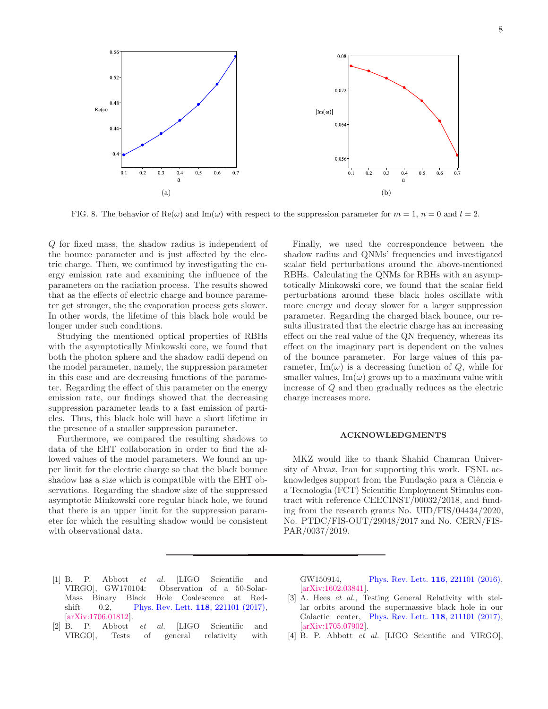<span id="page-7-3"></span>

<span id="page-7-2"></span>FIG. 8. The behavior of Re( $\omega$ ) and Im( $\omega$ ) with respect to the suppression parameter for  $m = 1, n = 0$  and  $l = 2$ .

Q for fixed mass, the shadow radius is independent of the bounce parameter and is just affected by the electric charge. Then, we continued by investigating the energy emission rate and examining the influence of the parameters on the radiation process. The results showed that as the effects of electric charge and bounce parameter get stronger, the the evaporation process gets slower. In other words, the lifetime of this black hole would be longer under such conditions.

Studying the mentioned optical properties of RBHs with the asymptotically Minkowski core, we found that both the photon sphere and the shadow radii depend on the model parameter, namely, the suppression parameter in this case and are decreasing functions of the parameter. Regarding the effect of this parameter on the energy emission rate, our findings showed that the decreasing suppression parameter leads to a fast emission of particles. Thus, this black hole will have a short lifetime in the presence of a smaller suppression parameter.

Furthermore, we compared the resulting shadows to data of the EHT collaboration in order to find the allowed values of the model parameters. We found an upper limit for the electric charge so that the black bounce shadow has a size which is compatible with the EHT observations. Regarding the shadow size of the suppressed asymptotic Minkowski core regular black hole, we found that there is an upper limit for the suppression parameter for which the resulting shadow would be consistent with observational data.

<span id="page-7-4"></span>Finally, we used the correspondence between the shadow radius and QNMs' frequencies and investigated scalar field perturbations around the above-mentioned RBHs. Calculating the QNMs for RBHs with an asymptotically Minkowski core, we found that the scalar field perturbations around these black holes oscillate with more energy and decay slower for a larger suppression parameter. Regarding the charged black bounce, our results illustrated that the electric charge has an increasing effect on the real value of the QN frequency, whereas its effect on the imaginary part is dependent on the values of the bounce parameter. For large values of this parameter, Im( $\omega$ ) is a decreasing function of Q, while for smaller values,  $\text{Im}(\omega)$  grows up to a maximum value with increase of Q and then gradually reduces as the electric charge increases more.

## ACKNOWLEDGMENTS

MKZ would like to thank Shahid Chamran University of Ahvaz, Iran for supporting this work. FSNL acknowledges support from the Fundação para a Ciência e a Tecnologia (FCT) Scientific Employment Stimulus contract with reference CEECINST/00032/2018, and funding from the research grants No. UID/FIS/04434/2020, No. PTDC/FIS-OUT/29048/2017 and No. CERN/FIS-PAR/0037/2019.

- <span id="page-7-0"></span>[1] B. P. Abbott et al. [LIGO Scientific and VIRGO], GW170104: Observation of a 50-Solar-Mass Binary Black Hole Coalescence at Red-shift 0.2, [Phys. Rev. Lett.](https://journals.aps.org/prl/issues/118/22) **118**, 221101 (2017), [\[arXiv:1706.01812\]](https://arxiv.org/abs/1706.01812).
- <span id="page-7-1"></span>[2] B. P. Abbott et al. [LIGO Scientific and VIRGO], Tests of general relativity with

GW150914, [Phys. Rev. Lett.](https://doi.org/10.1103/PhysRevLett.116.221101) 116, 221101 (2016), [\[arXiv:1602.03841\]](https://arxiv.org/abs/1602.03841).

- [3] A. Hees et al., Testing General Relativity with stellar orbits around the supermassive black hole in our Galactic center, [Phys. Rev. Lett.](https://doi.org/10.1103/PhysRevLett.118.211101) 118, 211101 (2017), [\[arXiv:1705.07902\]](https://arxiv.org/abs/1705.07902).
- [4] B. P. Abbott et al. [LIGO Scientific and VIRGO],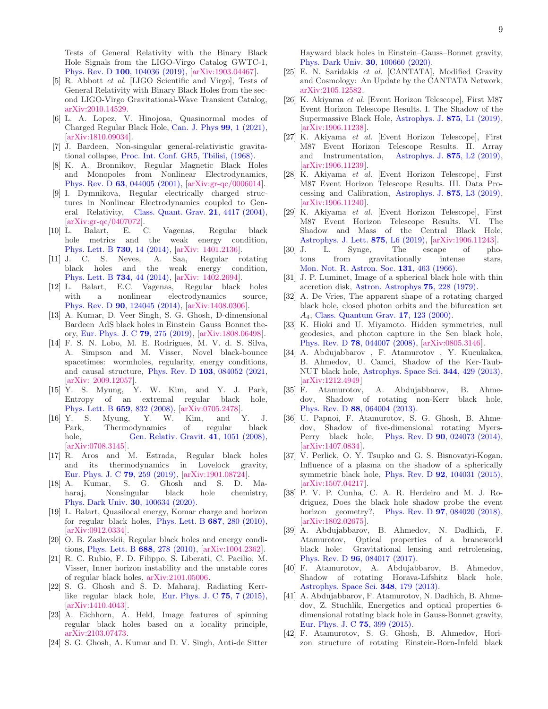Tests of General Relativity with the Binary Black Hole Signals from the LIGO-Virgo Catalog GWTC-1, Phys. Rev. D 100[, 104036 \(2019\),](https://doi.org/10.1103/PhysRevD.100.104036) [\[arXiv:1903.04467\]](https://arxiv.org/abs/1903.04467).

- <span id="page-8-0"></span>[5] R. Abbott et al. [LIGO Scientific and Virgo], Tests of General Relativity with Binary Black Holes from the second LIGO-Virgo Gravitational-Wave Transient Catalog, [arXiv:2010.14529.](https://arxiv.org/abs/2010.14529)
- <span id="page-8-1"></span>[6] L. A. Lopez, V. Hinojosa, Quasinormal modes of Charged Regular Black Hole, [Can. J. Phys](https://doi.org/10.1139/cjp-2019-0572) 99, 1 (2021), [\[arXiv:1810.09034\]](https://arxiv.org/abs/1810.09034).
- <span id="page-8-2"></span>[7] J. Bardeen, Non-singular general-relativistic gravitational collapse, [Proc. Int. Conf. GR5, Tbilisi, \(1968\).](https://doi.org/10.1051/epjconf/201816801001 )
- <span id="page-8-3"></span>[8] K. A. Bronnikov, Regular Magnetic Black Holes and Monopoles from Nonlinear Electrodynamics, Phys. Rev. D 63[, 044005 \(2001\),](https://doi.org/10.1103/PhysRevD.63.044005) [\[arXiv:gr-qc/0006014\]](https://arxiv.org/abs/gr-qc/0006014).
- [9] I. Dymnikova, Regular electrically charged structures in Nonlinear Electrodynamics coupled to General Relativity, [Class. Quant. Grav.](https://doi.org/10.1088/0264-9381/21/18/009) 21, 4417 (2004), [\[arXiv:gr-qc/0407072\]](https://arxiv.org/abs/gr-qc/0407072).
- [10] L. Balart, E. C. Vagenas, Regular black hole metrics and the weak energy condition, [Phys. Lett. B](https://doi.org/10.1016/j.physletb.2014.01.024) 730, 14 (2014), [\[arXiv: 1401.2136\]](https://arxiv.org/abs/1401.2136).
- [11] J. C. S. Neves, A. Saa, Regular rotating black holes and the weak energy condition, [Phys. Lett. B](https://doi.org/10.1016/j.physletb.2014.05.026) 734, 44 (2014), [\[arXiv: 1402.2694\]](https://arxiv.org/abs/1402.2694).
- [12] L. Balart, E.C. Vagenas, Regular black holes with a nonlinear electrodynamics source, Phys. Rev. D 90[, 124045 \(2014\),](https://doi.org/10.1103/PhysRevD.90.124045) [\[arXiv:1408.0306\]](https://arxiv.org/abs/1408.0306).
- [13] A. Kumar, D. Veer Singh, S. G. Ghosh, D-dimensional Bardeen–AdS black holes in Einstein–Gauss–Bonnet theory, [Eur. Phys. J. C](https://doi.org/10.1140/epjc/s10052-019-6773-9) 79, 275 (2019), [\[arXiv:1808.06498\]](https://arxiv.org/abs/1808.06498).
- <span id="page-8-4"></span>[14] F. S. N. Lobo, M. E. Rodrigues, M. V. d. S. Silva, A. Simpson and M. Visser, Novel black-bounce spacetimes: wormholes, regularity, energy conditions, and causal structure, Phys. Rev. D 103[, 084052 \(2021,](https://doi.org/10.1103/PhysRevD.103.084052) [\[arXiv: 2009.12057\]](https://arxiv.org/abs/2009.12057).
- <span id="page-8-5"></span>[15] Y. S. Myung, Y. W. Kim, and Y. J. Park, Entropy of an extremal regular black hole, [Phys. Lett. B](https://doi.org/10.1016/j.physletb.2007.12.007) 659, 832 (2008), [\[arXiv:0705.2478\]](https://arxiv.org/abs/0705.2478).
- <span id="page-8-6"></span>[16] Y. S. Myung, Y. W. Kim, and Y. J. Park, Thermodynamics of regular black hole, [Gen. Relativ. Gravit.](https://doi.org/10.1007/s10714-008-0690-9) **41**, 1051 (2008), [\[arXiv:0708.3145\]](https://arxiv.org/abs/0708.3145).
- [17] R. Aros and M. Estrada, Regular black holes and its thermodynamics in Lovelock gravity, [Eur. Phys. J. C](https://doi.org/10.1140/epjc/s10052-019-6783-7) 79, 259 (2019), [\[arXiv:1901.08724\]](https://arxiv.org/abs/1901.08724).
- <span id="page-8-7"></span>[18] A. Kumar, S. G. Ghosh and S. D. Maharaj, Nonsingular black hole chemistry, [Phys. Dark Univ.](https://doi.org/10.1016/j.dark.2020.100634) 30, 100634 (2020).
- <span id="page-8-8"></span>[19] L. Balart, Quasilocal energy, Komar charge and horizon for regular black holes, [Phys. Lett. B](https://doi.org/10.1016/j.physletb.2010.03.056) 687, 280 (2010), [\[arXiv:0912.0334\]](https://arxiv.org/abs/0912.0334).
- <span id="page-8-9"></span>[20] O. B. Zaslavskii, Regular black holes and energy conditions, [Phys. Lett. B](https://doi.org/10.1016/j.physletb.2010.04.031) 688, 278 (2010), [\[arXiv:1004.2362\]](https://arxiv.org/abs/1004.2362).
- <span id="page-8-10"></span>[21] R. C. Rubio, F. D. Filippo, S. Liberati, C. Pacilio, M. Visser, Inner horizon instability and the unstable cores of regular black holes, [arXiv:2101.05006.](https://arxiv.org/abs/2101.05006)
- <span id="page-8-11"></span>[22] S. G. Ghosh and S. D. Maharaj, Radiating Kerr-like regular black hole, [Eur. Phys. J. C](https://doi.org/10.1140/epjc/s10052-014-3222-7) 75, 7 (2015), [\[arXiv:1410.4043\]](https://arxiv.org/abs/1410.4043).
- <span id="page-8-12"></span>[23] A. Eichhorn, A. Held, Image features of spinning regular black holes based on a locality principle, [arXiv:2103.07473.](https://arxiv.org/abs/2103.07473)
- <span id="page-8-13"></span>[24] S. G. Ghosh, A. Kumar and D. V. Singh, Anti-de Sitter

Hayward black holes in Einstein–Gauss–Bonnet gravity, [Phys. Dark Univ.](https://doi.org/10.1016/j.dark.2020.100660) 30, 100660 (2020).

- <span id="page-8-14"></span>[25] E. N. Saridakis et al. [CANTATA], Modified Gravity and Cosmology: An Update by the CANTATA Network, [arXiv:2105.12582.](https://arxiv.org/abs/2105.12582)
- <span id="page-8-15"></span>[26] K. Akiyama et al. [Event Horizon Telescope], First M87 Event Horizon Telescope Results. I. The Shadow of the Supermassive Black Hole, [Astrophys. J.](https://doi.org/10.3847/2041-8213/ab0ec7) 875, L1 (2019), [\[arXiv:1906.11238\]](https://arxiv.org/abs/1906.11238).
- [27] K. Akiyama et al. [Event Horizon Telescope], First M87 Event Horizon Telescope Results. II. Array and Instrumentation, [Astrophys. J.](https://doi.org/10.3847/2041-8213/ab0c96) 875, L2 (2019), [\[arXiv:1906.11239\]](https://arxiv.org/abs/1906.11239).
- [28] K. Akiyama et al. [Event Horizon Telescope], First M87 Event Horizon Telescope Results. III. Data Processing and Calibration, [Astrophys. J.](https://doi.org/10.3847/2041-8213/ab0c57) 875, L3 (2019), [\[arXiv:1906.11240\]](https://arxiv.org/abs/1906.11240).
- <span id="page-8-16"></span>[29] K. Akiyama et al. [Event Horizon Telescope], First M87 Event Horizon Telescope Results. VI. The Shadow and Mass of the Central Black Hole, [Astrophys. J. Lett.](https://doi.org/10.3847/2041-8213/ab1141) 875, L6 (2019), [\[arXiv:1906.11243\]](https://arxiv.org/abs/1906.11243).
- <span id="page-8-17"></span>[30] J. L. Synge, The escape of photons from gravitationally intense stars, [Mon. Not. R. Astron. Soc.](https://doi.org/10.1093/mnras/131.3.463) 131, 463 (1966).
- <span id="page-8-18"></span>[31] J. P. Luminet, Image of a spherical black hole with thin accretion disk, [Astron. Astrophys](https://ui.adsabs.harvard.edu/abs/1979A&A....75..228L) 75, 228 (1979).
- <span id="page-8-19"></span>[32] A. De Vries, The apparent shape of a rotating charged black hole, closed photon orbits and the bifurcation set A4, [Class. Quantum Grav.](https://iopscience.iop.org/article/10.1088/0264-9381/17/1/309) 17, 123 (2000).
- [33] K. Hioki and U. Miyamoto. Hidden symmetries, null geodesics, and photon capture in the Sen black hole, Phys. Rev. D 78[, 044007 \(2008\),](https://doi.org/10.1103/PhysRevD.78.044007) [\[arXiv:0805.3146\]](https://arxiv.org/abs/0805.3146).
- [34] A. Abdujabbarov , F. Atamurotov , Y. Kucukakca, B. Ahmedov, U. Camci, Shadow of the Ker-Taub-NUT black hole, [Astrophys. Space Sci.](https://link.springer.com/article/10.1007/s10509-012-1337-6) 344, 429 (2013), [\[arXiv:1212.4949\]](https://arxiv.org/abs/1212.4949)
- [35] F. Atamurotov, A. Abdujabbarov, B. Ahmedov, Shadow of rotating non-Kerr black hole, Phys. Rev. D 88[, 064004 \(2013\).](https://journals.aps.org/prd/abstract/10.1103/PhysRevD.88.064004)
- [36] U. Papnoi, F. Atamurotov, S. G. Ghosh, B. Ahmedov, Shadow of five-dimensional rotating Myers-Perry black hole, Phys. Rev. D 90[, 024073 \(2014\),](https://journals.aps.org/prd/abstract/10.1103/PhysRevD.90.024073) [\[arXiv:1407.0834\]](https://arxiv.org/abs/1407.0834).
- [37] V. Perlick, O. Y. Tsupko and G. S. Bisnovatyi-Kogan, Influence of a plasma on the shadow of a spherically symmetric black hole, Phys. Rev. D 92[, 104031 \(2015\),](https://doi.org/10.1103/PhysRevD.92.104031) [\[arXiv:1507.04217\]](https://arxiv.org/abs/1507.04217).
- <span id="page-8-20"></span>[38] P. V. P. Cunha, C. A. R. Herdeiro and M. J. Rodriguez, Does the black hole shadow probe the event horizon geometry?, Phys. Rev. D **97**[, 084020 \(2018\),](https://journals.aps.org/prd/abstract/10.1103/PhysRevD.97.084020) [\[arXiv:1802.02675\]](https://arxiv.org/abs/1802.02675).
- <span id="page-8-21"></span>[39] A. Abdujabbarov, B. Ahmedov, N. Dadhich, F. Atamurotov, Optical properties of a braneworld black hole: Gravitational lensing and retrolensing, Phys. Rev. D 96[, 084017 \(2017\).](https://journals.aps.org/prd/abstract/10.1103/PhysRevD.96.084017)
- <span id="page-8-22"></span>[40] F. Atamurotov, A. Abdujabbarov, B. Ahmedov, Shadow of rotating Horava-Lifshitz black hole, [Astrophys. Space Sci.](https://link.springer.com/article/10.1007/s10509-013-1548-5) 348, 179 (2013).
- [41] A. Abdujabbarov, F. Atamurotov, N. Dadhich, B. Ahmedov, Z. Stuchlik, Energetics and optical properties 6 dimensional rotating black hole in Gauss-Bonnet gravity, [Eur. Phys. J. C](https://link.springer.com/article/10.1140/epjc/s10052-015-3604-5) 75, 399 (2015).
- <span id="page-8-23"></span>[42] F. Atamurotov, S. G. Ghosh, B. Ahmedov, Horizon structure of rotating Einstein-Born-Infeld black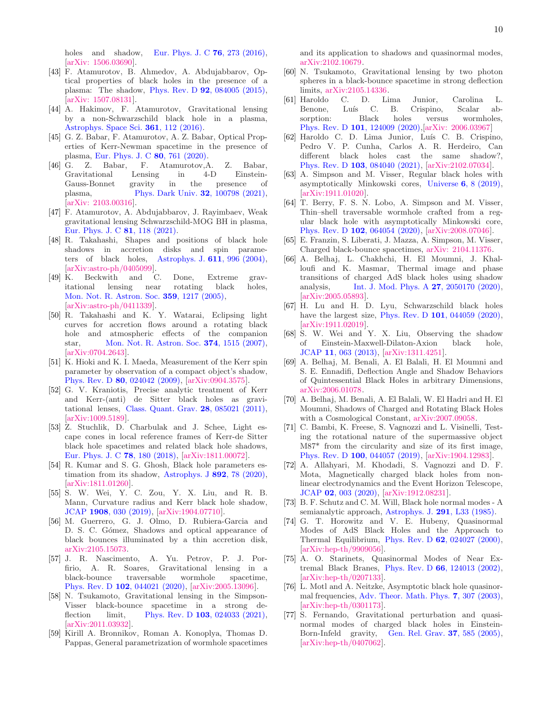holes and shadow, [Eur. Phys. J. C](https://link.springer.com/article/10.1140/epjc/s10052-016-4122-9) **76**, 273 (2016), [\[arXiv: 1506.03690\]](https://arxiv.org/abs/1506.03690).

- <span id="page-9-0"></span>[43] F. Atamurotov, B. Ahmedov, A. Abdujabbarov, Optical properties of black holes in the presence of a plasma: The shadow, Phys. Rev. D 92[, 084005 \(2015\),](https://journals.aps.org/prd/abstract/10.1103/PhysRevD.92.084005) [\[arXiv: 1507.08131\]](https://arxiv.org/abs/1507.08131).
- [44] A. Hakimov, F. Atamurotov, Gravitational lensing by a non-Schwarzschild black hole in a plasma, [Astrophys. Space Sci.](https://link.springer.com/article/10.1007/s10509-016-2702-7) 361, 112 (2016).
- [45] G. Z. Babar, F. Atamurotov, A. Z. Babar, Optical Properties of Kerr-Newman spacetime in the presence of plasma, [Eur. Phys. J. C](https://link.springer.com/article/10.1140/epjc/s10052-020-8346-3) 80, 761 (2020).
- [46] G. Z. Babar, F. Atamurotov,A. Z. Babar, Gravitational Lensing in 4-D Einstein-Gauss-Bonnet gravity in the presence of plasma, [Phys. Dark Univ.](https://doi.org/10.1016/j.dark.2021.100798) 32, 100798 (2021), [\[arXiv: 2103.00316\]](https://arxiv.org/abs/2103.00316).
- <span id="page-9-1"></span>[47] F. Atamurotov, A. Abdujabbarov, J. Rayimbaev, Weak gravitational lensing Schwarzschild-MOG BH in plasma, [Eur. Phys. J. C](https://doi.org/10.1140/epjc/s10052-021-08919-x) 81, 118 (2021).
- <span id="page-9-2"></span>[48] R. Takahashi, Shapes and positions of black hole shadows in accretion disks and spin parame-ters of black holes, [Astrophys. J.](https://iopscience.iop.org/article/10.1086/422403)  $611$ , 996 (2004), [\[arXiv:astro-ph/0405099\]](https://arxiv.org/abs/astro-ph/0405099).
- [49] K. Beckwith and C. Done, Extreme gravitational lensing near rotating black holes, [Mon. Not. R. Astron. Soc.](https://doi.org/10.1111/j.1365-2966.2005.08980.x) 359, 1217 (2005), [\[arXiv:astro-ph/0411339\]](https://arxiv.org/abs/astro-ph/0411339).
- [50] R. Takahashi and K. Y. Watarai, Eclipsing light curves for accretion flows around a rotating black hole and atmospheric effects of the companion star, [Mon. Not. R. Astron. Soc.](https://doi.org/10.1111/j.1365-2966.2006.11262.x) 374, 1515 (2007), [\[arXiv:0704.2643\]](https://arxiv.org/abs/0704.2643).
- [51] K. Hioki and K. I. Maeda, Measurement of the Kerr spin parameter by observation of a compact object's shadow, Phys. Rev. D 80[, 024042 \(2009\),](https://doi.org/10.1103/PhysRevD.80.024042) [\[arXiv:0904.3575\]](https://arxiv.org/abs/0904.3575).
- [52] G. V. Kraniotis, Precise analytic treatment of Kerr and Kerr-(anti) de Sitter black holes as gravitational lenses, [Class. Quant. Grav.](https://doi.org/10.1088/0264-9381/28/8/085021) 28, 085021 (2011), [\[arXiv:1009.5189\]](https://arxiv.org/abs/1009.5189).
- [53] Z. Stuchlik, D. Charbulak and J. Schee, Light escape cones in local reference frames of Kerr-de Sitter black hole spacetimes and related black hole shadows, [Eur. Phys. J. C](https://doi.org/10.1140/epjc/s10052-018-5578-6) 78, 180 (2018), [\[arXiv:1811.00072\]](https://arxiv.org/abs/1811.00072).
- [54] R. Kumar and S. G. Ghosh, Black hole parameters estimation from its shadow, [Astrophys. J](https://doi.org/10.3847/1538-4357/ab77b0) 892, 78 (2020), [\[arXiv:1811.01260\]](https://arxiv.org/abs/1811.01260).
- <span id="page-9-3"></span>[55] S. W. Wei, Y. C. Zou, Y. X. Liu, and R. B. Mann, Curvature radius and Kerr black hole shadow, JCAP 1908[, 030 \(2019\),](https://doi.org/10.1088/1475-7516/2019/08/030) [\[arXiv:1904.07710\]](https://arxiv.org/abs/1904.07710).
- <span id="page-9-4"></span>[56] M. Guerrero, G. J. Olmo, D. Rubiera-Garcia and D. S. C. Gómez, Shadows and optical appearance of black bounces illuminated by a thin accretion disk, [arXiv:2105.15073.](https://arxiv.org/abs/2105.15073)
- <span id="page-9-5"></span>[57] J. R. Nascimento, A. Yu. Petrov, P. J. Porfirio, A. R. Soares, Gravitational lensing in a black-bounce traversable wormhole spacetime, Phys. Rev. D 102[, 044021 \(2020\),](https://journals.aps.org/prd/abstract/10.1103/PhysRevD.102.044021) [\[arXiv:2005.13096\]](https://arxiv.org/abs/2005.13096).
- [58] N. Tsukamoto, Gravitational lensing in the Simpson-Visser black-bounce spacetime in a strong deflection limit, Phys. Rev. D **103**[, 024033 \(2021\),](https://journals.aps.org/prd/abstract/10.1103/PhysRevD.103.024033) [\[arXiv:2011.03932\]](https://arxiv.org/abs/2011.03932).
- [59] Kirill A. Bronnikov, Roman A. Konoplya, Thomas D. Pappas, General parametrization of wormhole spacetimes

and its application to shadows and quasinormal modes, [arXiv:2102.10679.](https://arxiv.org/abs/2102.10679)

- <span id="page-9-6"></span>[60] N. Tsukamoto, Gravitational lensing by two photon spheres in a black-bounce spacetime in strong deflection limits, [arXiv:2105.14336.](https://arxiv.org/abs/2105.14336)
- <span id="page-9-7"></span>[61] Haroldo C. D. Lima Junior, Carolina L. Benone, Luís C. B. Crispino, Scalar absorption: Black holes versus wormholes, Phys. Rev. D 101[, 124009 \(2020\),](https://journals.aps.org/prd/abstract/10.1103/PhysRevD.101.124009)[\[arXiv: 2006.03967\]](https://arxiv.org/abs/2006.03967)
- <span id="page-9-8"></span>[62] Haroldo C. D. Lima Junior, Luís C. B. Crispino, Pedro V. P. Cunha, Carlos A. R. Herdeiro, Can different black holes cast the same shadow?, Phys. Rev. D 103[, 084040 \(2021\),](https://journals.aps.org/prd/abstract/10.1103/PhysRevD.103.084040) [\[arXiv:2102.07034\]](https://arxiv.org/abs/2102.07034).
- <span id="page-9-9"></span>[63] A. Simpson and M. Visser, Regular black holes with asymptotically Minkowski cores, Universe 6[, 8 \(2019\),](https://doi.org/10.3390/universe6010008) [\[arXiv:1911.01020\]](https://arxiv.org/abs/1911.01020).
- <span id="page-9-10"></span>[64] T. Berry, F. S. N. Lobo, A. Simpson and M. Visser, Thin–shell traversable wormhole crafted from a regular black hole with asymptotically Minkowski core, Phys. Rev. D 102[, 064054 \(2020\),](https://doi.org/10.1103/PhysRevD.102.064054) [\[arXiv:2008.07046\]](https://arxiv.org/abs/2008.07046).
- <span id="page-9-11"></span>[65] E. Franzin, S. Liberati, J. Mazza, A. Simpson, M. Visser, Charged black-bounce spacetimes, [arXiv: 2104.11376.](https://arxiv.org/abs/2104.11376)
- <span id="page-9-12"></span>[66] A. Belhaj, L. Chakhchi, H. El Moumni, J. Khalloufi and K. Masmar, Thermal image and phase transitions of charged AdS black holes using shadow analysis, [Int. J. Mod. Phys. A](https://www.worldscientific.com/doi/abs/10.1142/S0217751X20501705) **27**, 2050170 (2020), [\[arXiv:2005.05893\]](https://arxiv.org/abs/2005.05893).
- <span id="page-9-13"></span>[67] H. Lu and H. D. Lyu, Schwarzschild black holes have the largest size, Phys. Rev. D **101**[, 044059 \(2020\),](https://doi.org/10.1103/PhysRevD.101.044059) [\[arXiv:1911.02019\]](https://arxiv.org/abs/1911.02019).
- <span id="page-9-14"></span>[68] S. W. Wei and Y. X. Liu, Observing the shadow of Einstein-Maxwell-Dilaton-Axion black hole, JCAP 11[, 063 \(2013\),](https://doi.org/10.1088/1475-7516/2013/11/063) [\[arXiv:1311.4251\]](https://arxiv.org/abs/1311.4251).
- [69] A. Belhaj, M. Benali, A. El Balali, H. El Moumni and S. E. Ennadifi, Deflection Angle and Shadow Behaviors of Quintessential Black Holes in arbitrary Dimensions, [arXiv:2006.01078.](https://arxiv.org/abs/2006.01078)
- <span id="page-9-15"></span>[70] A. Belhaj, M. Benali, A. El Balali, W. El Hadri and H. El Moumni, Shadows of Charged and Rotating Black Holes with a Cosmological Constant, [arXiv:2007.09058.](https://arxiv.org/abs/2007.09058)
- <span id="page-9-16"></span>[71] C. Bambi, K. Freese, S. Vagnozzi and L. Visinelli, Testing the rotational nature of the supermassive object M87\* from the circularity and size of its first image, Phys. Rev. D 100[, 044057 \(2019\),](https://doi.org/10.1103/PhysRevD.100.044057) [\[arXiv:1904.12983\]](https://arxiv.org/abs/1904.12983).
- <span id="page-9-17"></span>[72] A. Allahyari, M. Khodadi, S. Vagnozzi and D. F. Mota, Magnetically charged black holes from nonlinear electrodynamics and the Event Horizon Telescope, JCAP 02[, 003 \(2020\),](https://iopscience.iop.org/article/10.1088/1475-7516/2020/02/003) [\[arXiv:1912.08231\]](https://arxiv.org/abs/1912.08231).
- <span id="page-9-18"></span>[73] B. F. Schutz and C. M. Will, Black hole normal modes - A semianalytic approach, [Astrophys. J.](https://dx.doi.org/10.1086/184453) 291, L33 (1985).
- <span id="page-9-19"></span>[74] G. T. Horowitz and V. E. Hubeny, Quasinormal Modes of AdS Black Holes and the Approach to Thermal Equilibrium, Phys. Rev. D 62[, 024027 \(2000\),](https://journals.aps.org/prd/abstract/10.1103/PhysRevD.62.024027) [\[arXiv:hep-th/9909056\]](https://arxiv.org/abs/hep-th/9909056).
- <span id="page-9-20"></span>[75] A. O. Starinets, Quasinormal Modes of Near Extremal Black Branes, Phys. Rev. D 66[, 124013 \(2002\),](https://journals.aps.org/prd/abstract/10.1103/PhysRevD.66.124013) [\[arXiv:hep-th/0207133\]](https://arxiv.org/abs/hep-th/0207133).
- <span id="page-9-21"></span>[76] L. Motl and A. Neitzke, Asymptotic black hole quasinormal frequencies, [Adv. Theor. Math. Phys.](https://dx.doi.org/10.4310/ATMP.2003.v7.n2.a4) 7, 307 (2003), [\[arXiv:hep-th/0301173\]](https://arxiv.org/abs/hep-th/0301173).
- <span id="page-9-22"></span>[77] S. Fernando, Gravitational perturbation and quasinormal modes of charged black holes in Einstein-Born-Infeld gravity, [Gen. Rel. Grav.](https://link.springer.com/article/10.1007/s10714-005-0044-9) 37, 585 (2005),  $\arXiv:hep-th/0407062$ .